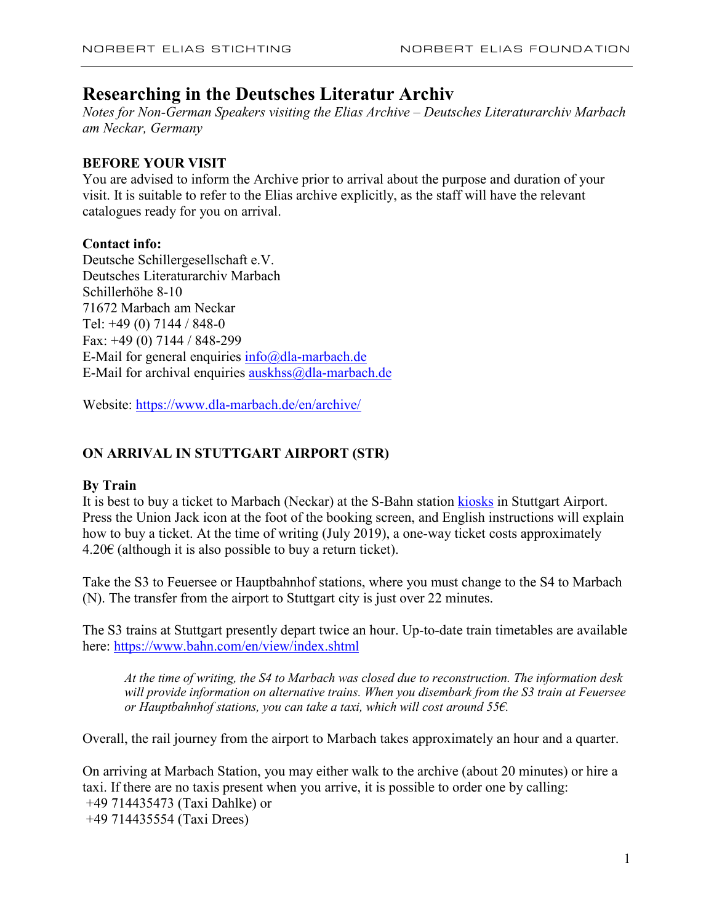# **Researching in the Deutsches Literatur Archiv**

*Notes for Non-German Speakers visiting the Elias Archive – Deutsches Literaturarchiv Marbach am Neckar, Germany*

# **BEFORE YOUR VISIT**

You are advised to inform the Archive prior to arrival about the purpose and duration of your visit. It is suitable to refer to the Elias archive explicitly, as the staff will have the relevant catalogues ready for you on arrival.

# **Contact info:**

Deutsche Schillergesellschaft e.V. Deutsches Literaturarchiv Marbach Schillerhöhe 8-10 71672 Marbach am Neckar Tel: +49 (0) 7144 / 848-0 Fax: +49 (0) 7144 / 848-299 E-Mail for general enquiries  $info@dla-marbach.de$ E-Mail for archival enquiries [auskhss@dla-marbach.de](mailto:auskhss@dla-marbach.de)

Website:<https://www.dla-marbach.de/en/archive/>

# **ON ARRIVAL IN STUTTGART AIRPORT (STR)**

# **By Train**

It is best to buy a ticket to Marbach (Neckar) at the S-Bahn station [kiosks](https://www.vvs.de/tickets/ticketskaufen/automatenverkauf/ssb-ticketautomat-statisch/) in Stuttgart Airport. Press the Union Jack icon at the foot of the booking screen, and English instructions will explain how to buy a ticket. At the time of writing (July 2019), a one-way ticket costs approximately 4.20€ (although it is also possible to buy a return ticket).

Take the S3 to Feuersee or Hauptbahnhof stations, where you must change to the S4 to Marbach (N). The transfer from the airport to Stuttgart city is just over 22 minutes.

The S3 trains at Stuttgart presently depart twice an hour. Up-to-date train timetables are available here:<https://www.bahn.com/en/view/index.shtml>

*At the time of writing, the S4 to Marbach was closed due to reconstruction. The information desk will provide information on alternative trains. When you disembark from the S3 train at Feuersee or Hauptbahnhof stations, you can take a taxi, which will cost around 55€.* 

Overall, the rail journey from the airport to Marbach takes approximately an hour and a quarter.

On arriving at Marbach Station, you may either walk to the archive (about 20 minutes) or hire a taxi. If there are no taxis present when you arrive, it is possible to order one by calling: +49 714435473 (Taxi Dahlke) or +49 714435554 (Taxi Drees)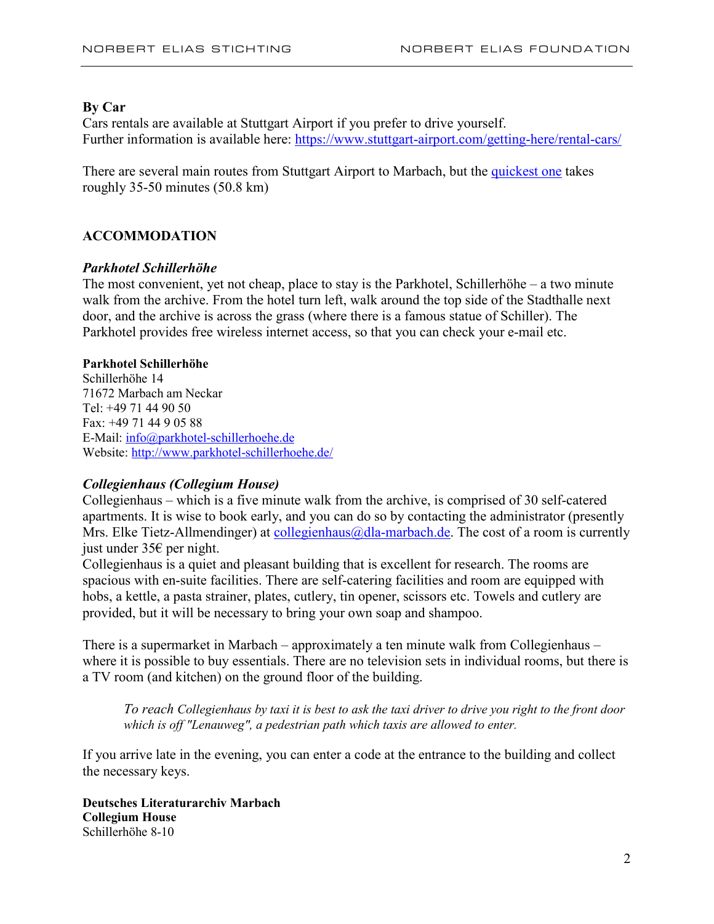#### **By Car**

Cars rentals are available at Stuttgart Airport if you prefer to drive yourself. Further information is available here:<https://www.stuttgart-airport.com/getting-here/rental-cars/>

There are several main routes from Stuttgart Airport to Marbach, but the [quickest one](https://www.google.com/maps/dir/stuttgart+airport/German+Literature+Archive+Marbach,+Schillerh%C3%B6he+8,+71672+Marbach+am+Neckar,+Germany/@48.8238997,9.0604903,11z/am=t/data=!4m18!4m17!1m5!1m1!1s0x4799c28ca5ce6fb5:0x51e8e178f7793d93!2m2!1d9.205576!2d48.6876365!1m5!1m1!1s0x4799cd945b55605d:0x5e0c5f23c5d0e1b1!2m2!1d9.2558819!2d48.9362529!2m3!6e0!7e2!8j1564045200!3e0) takes roughly 35-50 minutes (50.8 km)

#### **ACCOMMODATION**

#### *Parkhotel Schillerhöhe*

The most convenient, yet not cheap, place to stay is the Parkhotel, Schillerhöhe – a two minute walk from the archive. From the hotel turn left, walk around the top side of the Stadthalle next door, and the archive is across the grass (where there is a famous statue of Schiller). The Parkhotel provides free wireless internet access, so that you can check your e-mail etc.

#### **Parkhotel Schillerhöhe**

Schillerhöhe 14 71672 Marbach am Neckar Tel: +49 71 44 90 50 Fax: +49 71 44 9 05 88 E-Mail: [info@parkhotel-schillerhoehe.de](mailto:info@parkhotel-schillerhoehe.de) Website[: http://www.parkhotel-schillerhoehe.de/](http://www.parkhotel-schillerhoehe.de/)

#### *Collegienhaus (Collegium House)*

Collegienhaus – which is a five minute walk from the archive, is comprised of 30 self-catered apartments. It is wise to book early, and you can do so by contacting the administrator (presently Mrs. Elke Tietz-Allmendinger) at collegienhaus  $\omega$ dla-marbach.de. The cost of a room is currently just under 35€ per night.

Collegienhaus is a quiet and pleasant building that is excellent for research. The rooms are spacious with en-suite facilities. There are self-catering facilities and room are equipped with hobs, a kettle, a pasta strainer, plates, cutlery, tin opener, scissors etc. Towels and cutlery are provided, but it will be necessary to bring your own soap and shampoo.

There is a supermarket in Marbach – approximately a ten minute walk from Collegienhaus – where it is possible to buy essentials. There are no television sets in individual rooms, but there is a TV room (and kitchen) on the ground floor of the building.

*To reach Collegienhaus by taxi it is best to ask the taxi driver to drive you right to the front door which is off "Lenauweg", a pedestrian path which taxis are allowed to enter.*

If you arrive late in the evening, you can enter a code at the entrance to the building and collect the necessary keys.

**Deutsches Literaturarchiv Marbach Collegium House** Schillerhöhe 8-10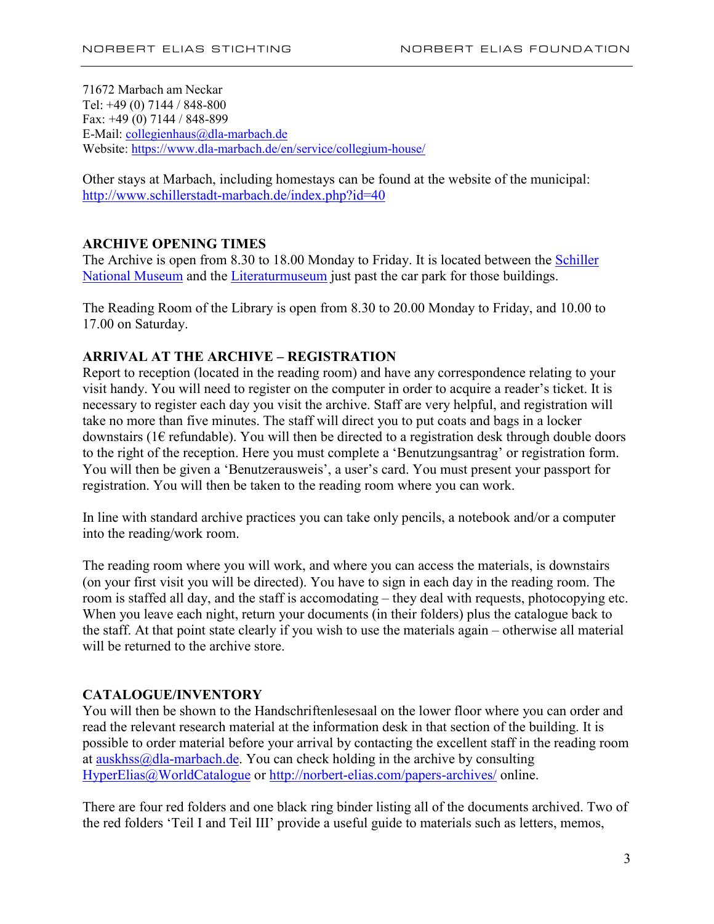71672 Marbach am Neckar Tel: +49 (0) 7144 / 848-800 Fax: +49 (0) 7144 / 848-899 E-Mail: [collegienhaus@dla-marbach.de](javascript:linkTo_UnCryptMailto() Website[: https://www.dla-marbach.de/en/service/collegium-house/](https://www.dla-marbach.de/en/service/collegium-house/)

Other stays at Marbach, including homestays can be found at the website of the municipal: <http://www.schillerstadt-marbach.de/index.php?id=40>

## **ARCHIVE OPENING TIMES**

The Archive is open from 8.30 to 18.00 Monday to Friday. It is located between the Schiller [National Museum](https://www.dla-marbach.de/museen/schiller-nationalmuseum/) and the [Literaturmuseum](https://www.dla-marbach.de/museen/literaturmuseum-der-moderne/) just past the car park for those buildings.

The Reading Room of the Library is open from 8.30 to 20.00 Monday to Friday, and 10.00 to 17.00 on Saturday.

## **ARRIVAL AT THE ARCHIVE – REGISTRATION**

Report to reception (located in the reading room) and have any correspondence relating to your visit handy. You will need to register on the computer in order to acquire a reader's ticket. It is necessary to register each day you visit the archive. Staff are very helpful, and registration will take no more than five minutes. The staff will direct you to put coats and bags in a locker downstairs (1 $\epsilon$  refundable). You will then be directed to a registration desk through double doors to the right of the reception. Here you must complete a 'Benutzungsantrag' or registration form. You will then be given a 'Benutzerausweis', a user's card. You must present your passport for registration. You will then be taken to the reading room where you can work.

In line with standard archive practices you can take only pencils, a notebook and/or a computer into the reading/work room.

The reading room where you will work, and where you can access the materials, is downstairs (on your first visit you will be directed). You have to sign in each day in the reading room. The room is staffed all day, and the staff is accomodating – they deal with requests, photocopying etc. When you leave each night, return your documents (in their folders) plus the catalogue back to the staff. At that point state clearly if you wish to use the materials again – otherwise all material will be returned to the archive store.

### **CATALOGUE/INVENTORY**

You will then be shown to the Handschriftenlesesaal on the lower floor where you can order and read the relevant research material at the information desk in that section of the building. It is possible to order material before your arrival by contacting the excellent staff in the reading room at [auskhss@dla-marbach.de.](mailto:auskhss@dla-marbach.de) You can check holding in the archive by consulting [HyperElias@WorldCatalogue](http://hyperelias.jku.at/hypereliasstart.htm) or<http://norbert-elias.com/papers-archives/> online.

There are four red folders and one black ring binder listing all of the documents archived. Two of the red folders 'Teil I and Teil III' provide a useful guide to materials such as letters, memos,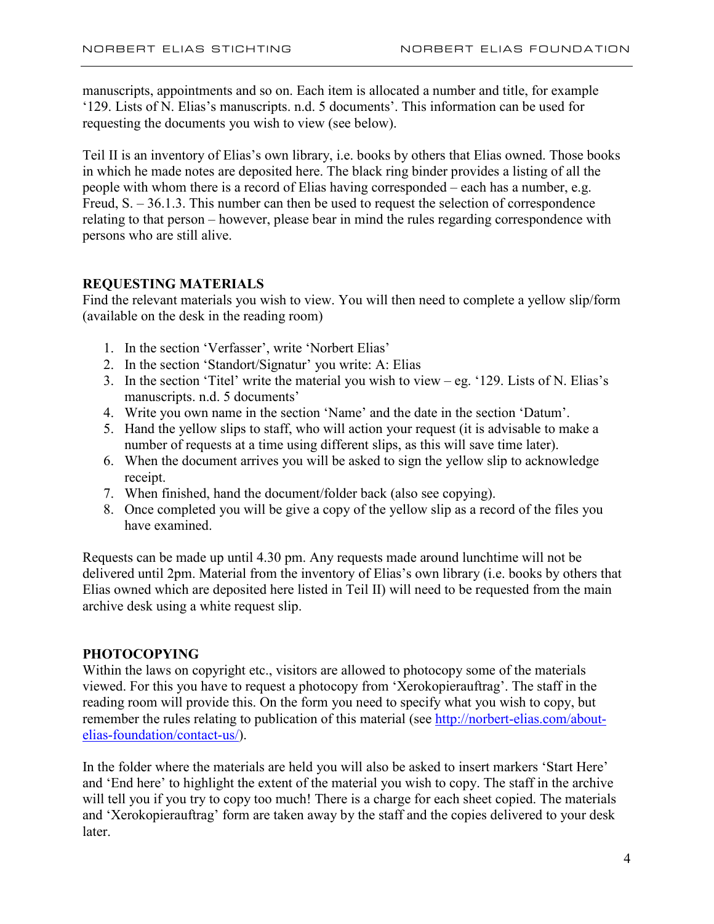manuscripts, appointments and so on. Each item is allocated a number and title, for example '129. Lists of N. Elias's manuscripts. n.d. 5 documents'. This information can be used for requesting the documents you wish to view (see below).

Teil II is an inventory of Elias's own library, i.e. books by others that Elias owned. Those books in which he made notes are deposited here. The black ring binder provides a listing of all the people with whom there is a record of Elias having corresponded – each has a number, e.g. Freud, S. – 36.1.3. This number can then be used to request the selection of correspondence relating to that person – however, please bear in mind the rules regarding correspondence with persons who are still alive.

## **REQUESTING MATERIALS**

Find the relevant materials you wish to view. You will then need to complete a yellow slip/form (available on the desk in the reading room)

- 1. In the section 'Verfasser', write 'Norbert Elias'
- 2. In the section 'Standort/Signatur' you write: A: Elias
- 3. In the section 'Titel' write the material you wish to view eg. '129. Lists of N. Elias's manuscripts. n.d. 5 documents'
- 4. Write you own name in the section 'Name' and the date in the section 'Datum'.
- 5. Hand the yellow slips to staff, who will action your request (it is advisable to make a number of requests at a time using different slips, as this will save time later).
- 6. When the document arrives you will be asked to sign the yellow slip to acknowledge receipt.
- 7. When finished, hand the document/folder back (also see copying).
- 8. Once completed you will be give a copy of the yellow slip as a record of the files you have examined.

Requests can be made up until 4.30 pm. Any requests made around lunchtime will not be delivered until 2pm. Material from the inventory of Elias's own library (i.e. books by others that Elias owned which are deposited here listed in Teil II) will need to be requested from the main archive desk using a white request slip.

#### **PHOTOCOPYING**

Within the laws on copyright etc., visitors are allowed to photocopy some of the materials viewed. For this you have to request a photocopy from 'Xerokopierauftrag'. The staff in the reading room will provide this. On the form you need to specify what you wish to copy, but remember the rules relating to publication of this material (see [http://norbert-elias.com/about](http://norbert-elias.com/about-elias-foundation/contact-us/)[elias-foundation/contact-us/\)](http://norbert-elias.com/about-elias-foundation/contact-us/).

In the folder where the materials are held you will also be asked to insert markers 'Start Here' and 'End here' to highlight the extent of the material you wish to copy. The staff in the archive will tell you if you try to copy too much! There is a charge for each sheet copied. The materials and 'Xerokopierauftrag' form are taken away by the staff and the copies delivered to your desk later.